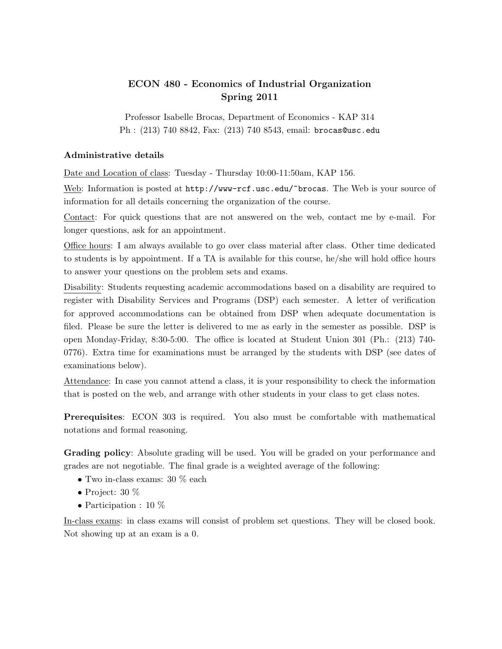## ECON 480 - Economics of Industrial Organization Spring 2011

Professor Isabelle Brocas, Department of Economics - KAP 314 Ph : (213) 740 8842, Fax: (213) 740 8543, email: brocas@usc.edu

## Administrative details

Date and Location of class: Tuesday - Thursday 10:00-11:50am, KAP 156.

Web: Information is posted at  $http://www-rcf.usc.edu/~brocas. The Web is your source of$ information for all details concerning the organization of the course.

Contact: For quick questions that are not answered on the web, contact me by e-mail. For longer questions, ask for an appointment.

Office hours: I am always available to go over class material after class. Other time dedicated to students is by appointment. If a TA is available for this course, he/she will hold office hours to answer your questions on the problem sets and exams.

Disability: Students requesting academic accommodations based on a disability are required to register with Disability Services and Programs (DSP) each semester. A letter of verification for approved accommodations can be obtained from DSP when adequate documentation is filed. Please be sure the letter is delivered to me as early in the semester as possible. DSP is open Monday-Friday, 8:30-5:00. The office is located at Student Union 301 (Ph.: (213) 740- 0776). Extra time for examinations must be arranged by the students with DSP (see dates of examinations below).

Attendance: In case you cannot attend a class, it is your responsibility to check the information that is posted on the web, and arrange with other students in your class to get class notes.

Prerequisites: ECON 303 is required. You also must be comfortable with mathematical notations and formal reasoning.

Grading policy: Absolute grading will be used. You will be graded on your performance and grades are not negotiable. The final grade is a weighted average of the following:

- Two in-class exams: 30 % each
- Project:  $30\%$
- Participation : 10  $%$

In-class exams: in class exams will consist of problem set questions. They will be closed book. Not showing up at an exam is a 0.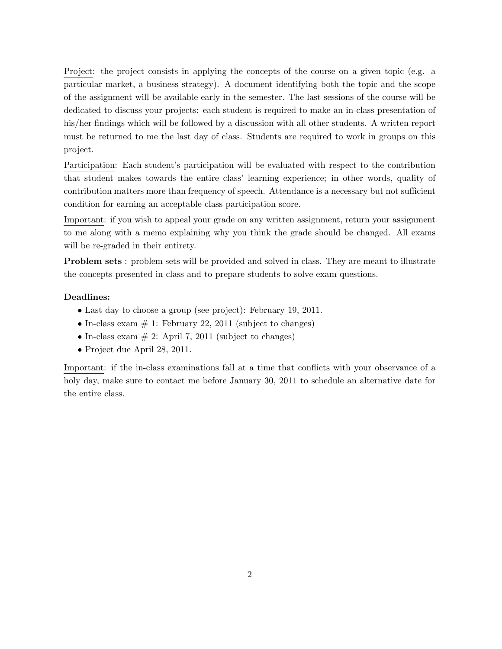Project: the project consists in applying the concepts of the course on a given topic (e.g. a particular market, a business strategy). A document identifying both the topic and the scope of the assignment will be available early in the semester. The last sessions of the course will be dedicated to discuss your projects: each student is required to make an in-class presentation of his/her findings which will be followed by a discussion with all other students. A written report must be returned to me the last day of class. Students are required to work in groups on this project.

Participation: Each student's participation will be evaluated with respect to the contribution that student makes towards the entire class' learning experience; in other words, quality of contribution matters more than frequency of speech. Attendance is a necessary but not sufficient condition for earning an acceptable class participation score.

Important: if you wish to appeal your grade on any written assignment, return your assignment to me along with a memo explaining why you think the grade should be changed. All exams will be re-graded in their entirety.

Problem sets : problem sets will be provided and solved in class. They are meant to illustrate the concepts presented in class and to prepare students to solve exam questions.

## Deadlines:

- Last day to choose a group (see project): February 19, 2011.
- In-class exam  $# 1$ : February 22, 2011 (subject to changes)
- In-class exam  $# 2$ : April 7, 2011 (subject to changes)
- Project due April 28, 2011.

Important: if the in-class examinations fall at a time that conflicts with your observance of a holy day, make sure to contact me before January 30, 2011 to schedule an alternative date for the entire class.